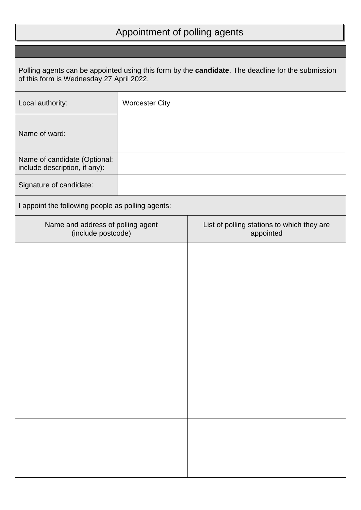## Appointment of polling agents

| Polling agents can be appointed using this form by the candidate. The deadline for the submission<br>of this form is Wednesday 27 April 2022. |                       |                                                         |  |  |
|-----------------------------------------------------------------------------------------------------------------------------------------------|-----------------------|---------------------------------------------------------|--|--|
| Local authority:                                                                                                                              | <b>Worcester City</b> |                                                         |  |  |
| Name of ward:                                                                                                                                 |                       |                                                         |  |  |
| Name of candidate (Optional:<br>include description, if any):                                                                                 |                       |                                                         |  |  |
| Signature of candidate:                                                                                                                       |                       |                                                         |  |  |
| I appoint the following people as polling agents:                                                                                             |                       |                                                         |  |  |
| Name and address of polling agent<br>(include postcode)                                                                                       |                       | List of polling stations to which they are<br>appointed |  |  |
|                                                                                                                                               |                       |                                                         |  |  |
|                                                                                                                                               |                       |                                                         |  |  |
|                                                                                                                                               |                       |                                                         |  |  |
|                                                                                                                                               |                       |                                                         |  |  |
|                                                                                                                                               |                       |                                                         |  |  |
|                                                                                                                                               |                       |                                                         |  |  |
|                                                                                                                                               |                       |                                                         |  |  |
|                                                                                                                                               |                       |                                                         |  |  |
|                                                                                                                                               |                       |                                                         |  |  |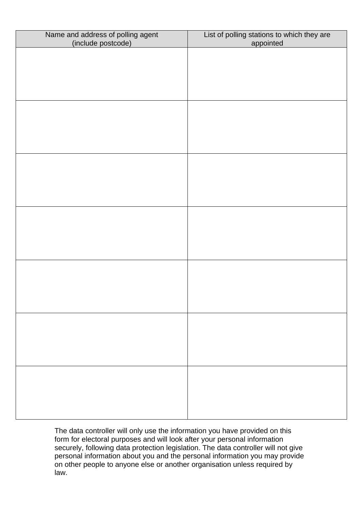| Name and address of polling agent<br>(include postcode) | List of polling stations to which they are<br>appointed |
|---------------------------------------------------------|---------------------------------------------------------|
|                                                         |                                                         |
|                                                         |                                                         |
|                                                         |                                                         |
|                                                         |                                                         |
|                                                         |                                                         |
|                                                         |                                                         |
|                                                         |                                                         |
|                                                         |                                                         |
|                                                         |                                                         |
|                                                         |                                                         |
|                                                         |                                                         |
|                                                         |                                                         |
|                                                         |                                                         |
|                                                         |                                                         |
|                                                         |                                                         |
|                                                         |                                                         |
|                                                         |                                                         |
|                                                         |                                                         |
|                                                         |                                                         |
|                                                         |                                                         |
|                                                         |                                                         |
|                                                         |                                                         |
|                                                         |                                                         |
|                                                         |                                                         |

The data controller will only use the information you have provided on this form for electoral purposes and will look after your personal information securely, following data protection legislation. The data controller will not give personal information about you and the personal information you may provide on other people to anyone else or another organisation unless required by law.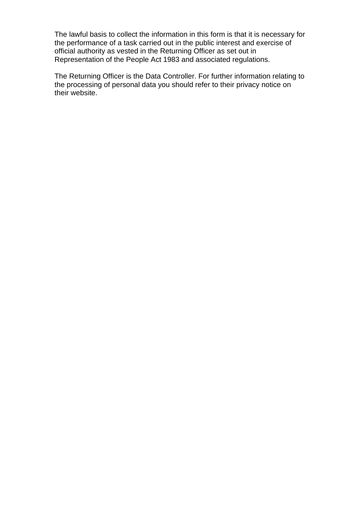The lawful basis to collect the information in this form is that it is necessary for the performance of a task carried out in the public interest and exercise of official authority as vested in the Returning Officer as set out in Representation of the People Act 1983 and associated regulations.

The Returning Officer is the Data Controller. For further information relating to the processing of personal data you should refer to their privacy notice on their website.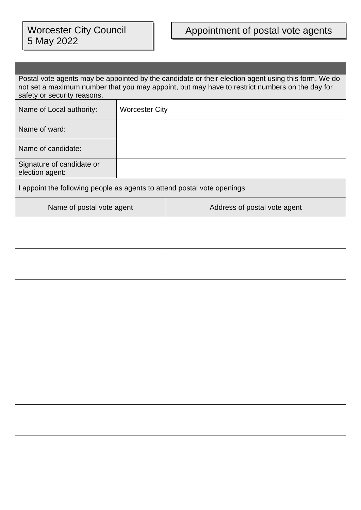| Postal vote agents may be appointed by the candidate or their election agent using this form. We do<br>not set a maximum number that you may appoint, but may have to restrict numbers on the day for<br>safety or security reasons. |                       |                              |  |  |
|--------------------------------------------------------------------------------------------------------------------------------------------------------------------------------------------------------------------------------------|-----------------------|------------------------------|--|--|
| Name of Local authority:                                                                                                                                                                                                             | <b>Worcester City</b> |                              |  |  |
| Name of ward:                                                                                                                                                                                                                        |                       |                              |  |  |
| Name of candidate:                                                                                                                                                                                                                   |                       |                              |  |  |
| Signature of candidate or<br>election agent:                                                                                                                                                                                         |                       |                              |  |  |
| I appoint the following people as agents to attend postal vote openings:                                                                                                                                                             |                       |                              |  |  |
| Name of postal vote agent                                                                                                                                                                                                            |                       | Address of postal vote agent |  |  |
|                                                                                                                                                                                                                                      |                       |                              |  |  |
|                                                                                                                                                                                                                                      |                       |                              |  |  |
|                                                                                                                                                                                                                                      |                       |                              |  |  |
|                                                                                                                                                                                                                                      |                       |                              |  |  |
|                                                                                                                                                                                                                                      |                       |                              |  |  |
|                                                                                                                                                                                                                                      |                       |                              |  |  |
|                                                                                                                                                                                                                                      |                       |                              |  |  |
|                                                                                                                                                                                                                                      |                       |                              |  |  |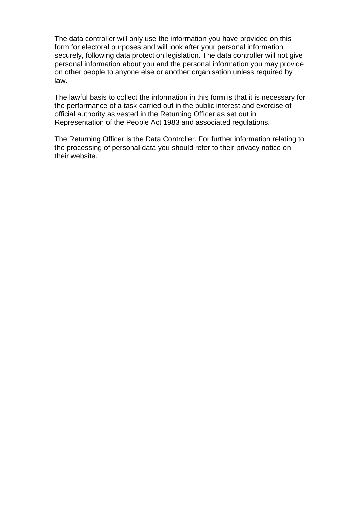The data controller will only use the information you have provided on this form for electoral purposes and will look after your personal information securely, following data protection legislation. The data controller will not give personal information about you and the personal information you may provide on other people to anyone else or another organisation unless required by law.

The lawful basis to collect the information in this form is that it is necessary for the performance of a task carried out in the public interest and exercise of official authority as vested in the Returning Officer as set out in Representation of the People Act 1983 and associated regulations.

The Returning Officer is the Data Controller. For further information relating to the processing of personal data you should refer to their privacy notice on their website.